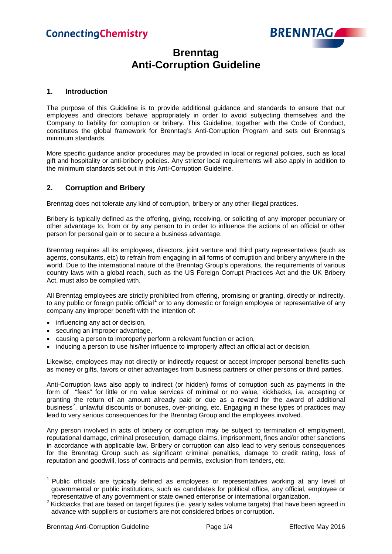

## **Brenntag Anti-Corruption Guideline**

#### **1. Introduction**

The purpose of this Guideline is to provide additional guidance and standards to ensure that our employees and directors behave appropriately in order to avoid subjecting themselves and the Company to liability for corruption or bribery. This Guideline, together with the Code of Conduct, constitutes the global framework for Brenntag's Anti-Corruption Program and sets out Brenntag's minimum standards.

More specific guidance and/or procedures may be provided in local or regional policies, such as local gift and hospitality or anti-bribery policies. Any stricter local requirements will also apply in addition to the minimum standards set out in this Anti-Corruption Guideline.

#### **2. Corruption and Bribery**

Brenntag does not tolerate any kind of corruption, bribery or any other illegal practices.

Bribery is typically defined as the [offering,](https://en.wikipedia.org/wiki/Offer_and_acceptance) [giving,](https://en.wikipedia.org/wiki/Gift) [receiving,](https://en.wikipedia.org/wiki/Offer_and_acceptance) or [soliciting](https://en.wikipedia.org/wiki/Solicitation) of any improper pecuniary or other advantage to, from or by any person to in order to influence the actions of an official or other person for personal gain or to secure a business advantage.

Brenntag requires all its employees, directors, joint venture and third party representatives (such as agents, consultants, etc) to refrain from engaging in all forms of corruption and bribery anywhere in the world. Due to the international nature of the Brenntag Group's operations, the requirements of various country laws with a global reach, such as the US Foreign Corrupt Practices Act and the UK Bribery Act, must also be complied with.

All Brenntag employees are strictly prohibited from offering, promising or granting, directly or indirectly, to any public or foreign public official<sup>[1](#page-0-0)</sup> or to any domestic or foreign employee or representative of any company any improper benefit with the intention of:

- influencing any act or decision,
- securing an improper advantage,
- causing a person to improperly perform a relevant function or action,
- inducing a person to use his/her influence to improperly affect an official act or decision.

Likewise, employees may not directly or indirectly request or accept improper personal benefits such as money or gifts, favors or other advantages from business partners or other persons or third parties.

Anti-Corruption laws also apply to indirect (or hidden) forms of corruption such as payments in the form of "fees" for little or no value services of minimal or no value, kickbacks, i.e. accepting or granting the return of an amount already paid or due as a reward for the award of additional business<sup>[2](#page-0-1)</sup>, unlawful discounts or bonuses, over-pricing, etc. Engaging in these types of practices may lead to very serious consequences for the Brenntag Group and the employees involved.

Any person involved in acts of bribery or corruption may be subject to termination of employment, reputational damage, criminal prosecution, damage claims, imprisonment, fines and/or other sanctions in accordance with applicable law. Bribery or corruption can also lead to very serious consequences for the Brenntag Group such as significant criminal penalties, damage to credit rating, loss of reputation and goodwill, loss of contracts and permits, exclusion from tenders, etc.

<span id="page-0-0"></span><sup>&</sup>lt;sup>1</sup> Public officials are typically defined as employees or representatives working at any level of governmental or public institutions, such as candidates for political office, any official, employee or

<span id="page-0-1"></span>representative of any government or state owned enterprise or international organization.<br><sup>2</sup> Kickbacks that are based on target figures (i.e. yearly sales volume targets) that have been agreed in advance with suppliers or customers are not considered bribes or corruption.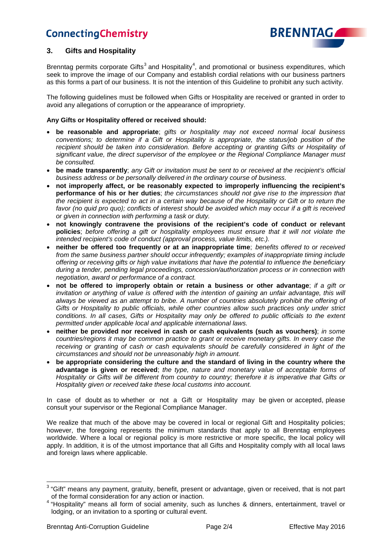

### **3. Gifts and Hospitality**

Brenntag permits corporate Gifts<sup>[3](#page-1-0)</sup> and Hospitality<sup>[4](#page-1-1)</sup>, and promotional or business expenditures, which seek to improve the image of our Company and establish cordial relations with our business partners as this forms a part of our business. It is not the intention of this Guideline to prohibit any such activity.

The following guidelines must be followed when Gifts or Hospitality are received or granted in order to avoid any allegations of corruption or the appearance of impropriety.

#### **Any Gifts or Hospitality offered or received should:**

- **be reasonable and appropriate**; *gifts or hospitality may not exceed normal local business conventions; to determine if a Gift or Hospitality is appropriate, the status/job position of the recipient should be taken into consideration. Before accepting or granting Gifts or Hospitality of significant value, the direct supervisor of the employee or the Regional Compliance Manager must be consulted.*
- **be made transparently**; *any Gift or invitation must be sent to or received at the recipient's official business address or be personally delivered in the ordinary course of business.*
- **not improperly affect, or be reasonably expected to improperly influencing the recipient's performance of his or her duties**; *the circumstances should not give rise to the impression that the recipient is expected to act in a certain way because of the Hospitality or Gift or to return the favor (no quid pro quo); conflicts of interest should be avoided which may occur if a gift is received or given in connection with performing a task or duty.*
- **not knowingly contravene the provisions of the recipient's code of conduct or relevant policies**; *before offering a gift or hospitality employees must ensure that it will not violate the intended recipient's code of conduct (approval process, value limits, etc.).*
- **neither be offered too frequently or at an inappropriate time**; *benefits offered to or received from the same business partner should occur infrequently; examples of inappropriate timing include offering or receiving gifts or high value invitations that have the potential to influence the beneficiary during a tender, pending legal proceedings, concession/authorization process or in connection with negotiation, award or performance of a contract.*
- **not be offered to improperly obtain or retain a business or other advantage**; *if a gift or invitation or anything of value is offered with the intention of gaining an unfair advantage, this will always be viewed as an attempt to bribe. A number of countries absolutely prohibit the offering of Gifts or Hospitality to public officials, while other countries allow such practices only under strict conditions. In all cases, Gifts or Hospitality may only be offered to public officials to the extent permitted under applicable local and applicable international laws.*
- **neither be provided nor received in cash or cash equivalents (such as vouchers)**; *in some countries/regions it may be common practice to grant or receive monetary gifts. In every case the receiving or granting of cash or cash equivalents should be carefully considered in light of the circumstances and should not be unreasonably high in amount.*
- **be appropriate considering the culture and the standard of living in the country where the advantage is given or received**; *the type, nature and monetary value of acceptable forms of Hospitality or Gifts will be different from country to country; therefore it is imperative that Gifts or Hospitality given or received take these local customs into account.*

In case of doubt as to whether or not a Gift or Hospitality may be given or accepted, please consult your supervisor or the Regional Compliance Manager.

We realize that much of the above may be covered in local or regional Gift and Hospitality policies; however, the foregoing represents the minimum standards that apply to all Brenntag employees worldwide. Where a local or regional policy is more restrictive or more specific, the local policy will apply. In addition, it is of the utmost importance that all Gifts and Hospitality comply with all local laws and foreign laws where applicable.

<span id="page-1-0"></span> $3$  "Gift" means any payment, gratuity, benefit, present or advantage, given or received, that is not part of the formal consideration for any action or inaction.

<span id="page-1-1"></span><sup>&</sup>lt;sup>4</sup> "Hospitality" means all form of social amenity, such as lunches & dinners, entertainment, travel or lodging, or an invitation to a sporting or cultural event.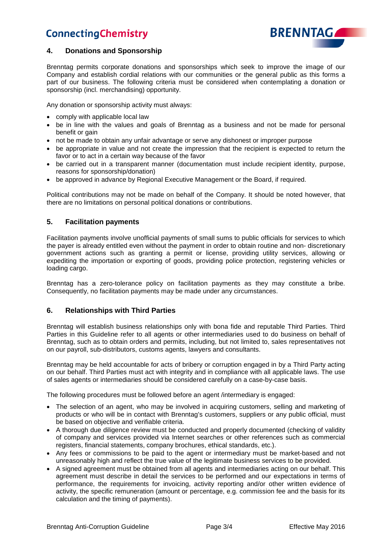

### **4. Donations and Sponsorship**

Brenntag permits corporate donations and sponsorships which seek to improve the image of our Company and establish cordial relations with our communities or the general public as this forms a part of our business. The following criteria must be considered when contemplating a donation or sponsorship (incl. merchandising) opportunity.

Any donation or sponsorship activity must always:

- comply with applicable local law
- be in line with the values and goals of Brenntag as a business and not be made for personal benefit or gain
- not be made to obtain any unfair advantage or serve any dishonest or improper purpose
- be appropriate in value and not create the impression that the recipient is expected to return the favor or to act in a certain way because of the favor
- be carried out in a transparent manner (documentation must include recipient identity, purpose, reasons for sponsorship/donation)
- be approved in advance by Regional Executive Management or the Board, if required.

Political contributions may not be made on behalf of the Company. It should be noted however, that there are no limitations on personal political donations or contributions.

### **5. Facilitation payments**

Facilitation payments involve unofficial payments of small sums to public officials for services to which the payer is already entitled even without the payment in order to obtain routine and non- discretionary government actions such as granting a permit or license, providing utility services, allowing or expediting the importation or exporting of goods, providing police protection, registering vehicles or loading cargo.

Brenntag has a zero-tolerance policy on facilitation payments as they may constitute a bribe. Consequently, no facilitation payments may be made under any circumstances.

### **6. Relationships with Third Parties**

Brenntag will establish business relationships only with bona fide and reputable Third Parties. Third Parties in this Guideline refer to all agents or other intermediaries used to do business on behalf of Brenntag, such as to obtain orders and permits, including, but not limited to, sales representatives not on our payroll, sub-distributors, customs agents, lawyers and consultants.

Brenntag may be held accountable for acts of bribery or corruption engaged in by a Third Party acting on our behalf. Third Parties must act with integrity and in compliance with all applicable laws. The use of sales agents or intermediaries should be considered carefully on a case-by-case basis.

The following procedures must be followed before an agent /intermediary is engaged:

- The selection of an agent, who may be involved in acquiring customers, selling and marketing of products or who will be in contact with Brenntag's customers, suppliers or any public official, must be based on objective and verifiable criteria.
- A thorough due diligence review must be conducted and properly documented (checking of validity of company and services provided via Internet searches or other references such as commercial registers, financial statements, company brochures, ethical standards, etc.).
- Any fees or commissions to be paid to the agent or intermediary must be market-based and not unreasonably high and reflect the true value of the legitimate business services to be provided.
- A signed agreement must be obtained from all agents and intermediaries acting on our behalf. This agreement must describe in detail the services to be performed and our expectations in terms of performance, the requirements for invoicing, activity reporting and/or other written evidence of activity, the specific remuneration (amount or percentage, e.g. commission fee and the basis for its calculation and the timing of payments).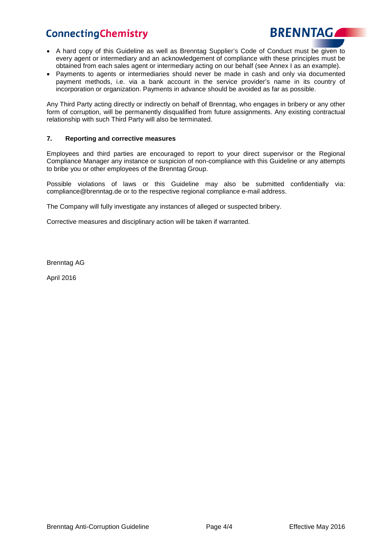

- A hard copy of this Guideline as well as Brenntag Supplier's Code of Conduct must be given to every agent or intermediary and an acknowledgement of compliance with these principles must be obtained from each sales agent or intermediary acting on our behalf (see Annex I as an example).
- Payments to agents or intermediaries should never be made in cash and only via documented payment methods, i.e. via a bank account in the service provider's name in its country of incorporation or organization. Payments in advance should be avoided as far as possible.

Any Third Party acting directly or indirectly on behalf of Brenntag, who engages in bribery or any other form of corruption, will be permanently disqualified from future assignments. Any existing contractual relationship with such Third Party will also be terminated.

#### **7. Reporting and corrective measures**

Employees and third parties are encouraged to report to your direct supervisor or the Regional Compliance Manager any instance or suspicion of non-compliance with this Guideline or any attempts to bribe you or other employees of the Brenntag Group.

Possible violations of laws or this Guideline may also be submitted confidentially via: [compliance@brenntag.de](mailto:compliance@brenntag.de) or to the respective regional compliance e-mail address.

The Company will fully investigate any instances of alleged or suspected bribery.

Corrective measures and disciplinary action will be taken if warranted.

Brenntag AG

April 2016